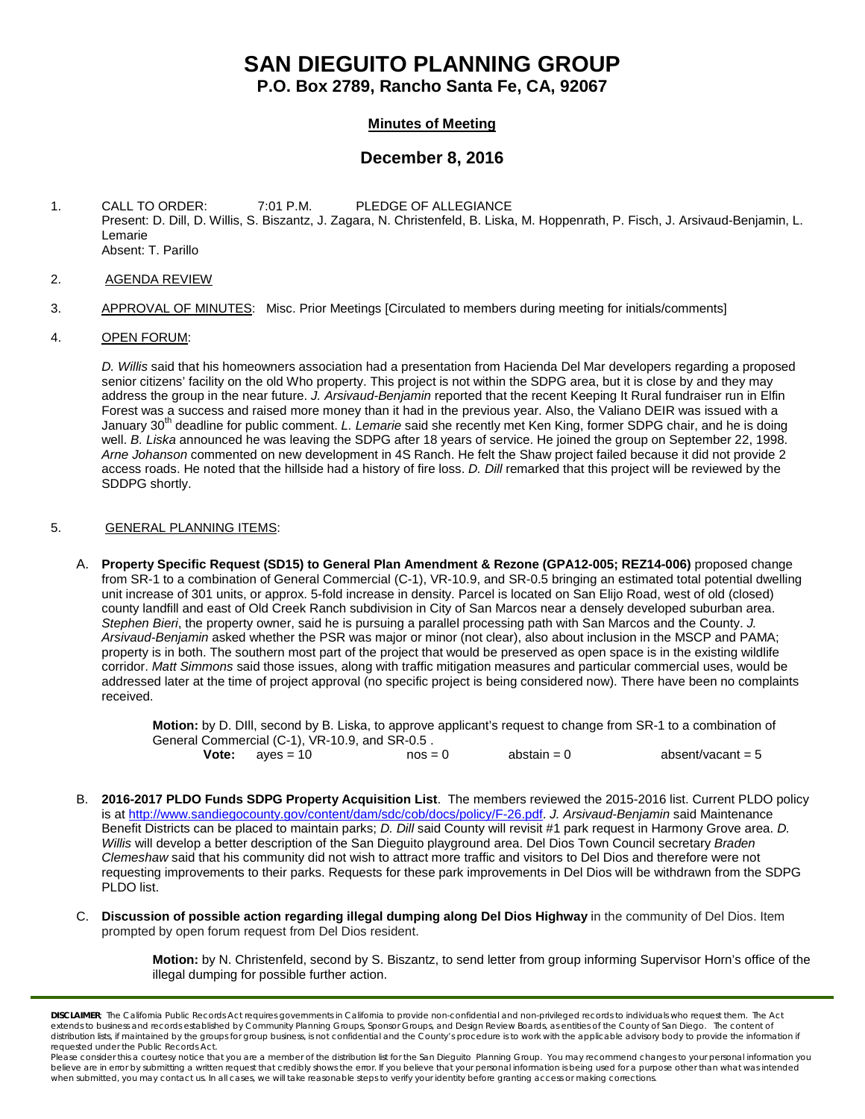# **SAN DIEGUITO PLANNING GROUP**

**P.O. Box 2789, Rancho Santa Fe, CA, 92067**

### **Minutes of Meeting**

## **December 8, 2016**

- 1. CALL TO ORDER: 7:01 P.M. PLEDGE OF ALLEGIANCE Present: D. Dill, D. Willis, S. Biszantz, J. Zagara, N. Christenfeld, B. Liska, M. Hoppenrath, P. Fisch, J. Arsivaud-Benjamin, L. Lemarie Absent: T. Parillo
- 2. AGENDA REVIEW
- 3. APPROVAL OF MINUTES: Misc. Prior Meetings [Circulated to members during meeting for initials/comments]

#### 4. OPEN FORUM:

*D. Willis* said that his homeowners association had a presentation from Hacienda Del Mar developers regarding a proposed senior citizens' facility on the old Who property. This project is not within the SDPG area, but it is close by and they may address the group in the near future. *J. Arsivaud-Benjamin* reported that the recent Keeping It Rural fundraiser run in Elfin Forest was a success and raised more money than it had in the previous year. Also, the Valiano DEIR was issued with a January 30<sup>th</sup> deadline for public comment. *L. Lemarie* said she recently met Ken King, former SDPG chair, and he is doing well. *B. Liska* announced he was leaving the SDPG after 18 years of service. He joined the group on September 22, 1998. *Arne Johanson* commented on new development in 4S Ranch. He felt the Shaw project failed because it did not provide 2 access roads. He noted that the hillside had a history of fire loss. *D. Dill* remarked that this project will be reviewed by the SDDPG shortly.

#### 5. GENERAL PLANNING ITEMS:

A. **Property Specific Request (SD15) to General Plan Amendment & Rezone (GPA12-005; REZ14-006)** proposed change from SR-1 to a combination of General Commercial (C-1), VR-10.9, and SR-0.5 bringing an estimated total potential dwelling unit increase of 301 units, or approx. 5-fold increase in density. Parcel is located on San Elijo Road, west of old (closed) county landfill and east of Old Creek Ranch subdivision in City of San Marcos near a densely developed suburban area. *Stephen Bieri*, the property owner, said he is pursuing a parallel processing path with San Marcos and the County. *J. Arsivaud-Benjamin* asked whether the PSR was major or minor (not clear), also about inclusion in the MSCP and PAMA; property is in both. The southern most part of the project that would be preserved as open space is in the existing wildlife corridor. *Matt Simmons* said those issues, along with traffic mitigation measures and particular commercial uses, would be addressed later at the time of project approval (no specific project is being considered now). There have been no complaints received.

**Motion:** by D. DIll, second by B. Liska, to approve applicant's request to change from SR-1 to a combination of General Commercial (C-1), VR-10.9, and SR-0.5 .<br>**Vote:** ayes = 10 mos =  $\cos = 0$  abstain = 0 absent/vacant = 5

- B. **2016-2017 PLDO Funds SDPG Property Acquisition List**. The members reviewed the 2015-2016 list. Current PLDO policy is at [http://www.sandiegocounty.gov/content/dam/sdc/cob/docs/policy/F-26.pdf.](http://www.sandiegocounty.gov/content/dam/sdc/cob/docs/policy/F-26.pdf) *J. Arsivaud-Benjamin* said Maintenance Benefit Districts can be placed to maintain parks; *D. Dill* said County will revisit #1 park request in Harmony Grove area. *D. Willis* will develop a better description of the San Dieguito playground area. Del Dios Town Council secretary *Braden Clemeshaw* said that his community did not wish to attract more traffic and visitors to Del Dios and therefore were not requesting improvements to their parks. Requests for these park improvements in Del Dios will be withdrawn from the SDPG PLDO list.
- C. **Discussion of possible action regarding illegal dumping along Del Dios Highway** in the community of Del Dios. Item prompted by open forum request from Del Dios resident.

**Motion:** by N. Christenfeld, second by S. Biszantz, to send letter from group informing Supervisor Horn's office of the illegal dumping for possible further action.

*DISCLAIMER; The California Public Records Act requires governments in California to provide non-confidential and non-privileged records to individuals who request them. The Act*  extends to business and records established by Community Planning Groups, Sponsor Groups, and Design Review Boards, as entities of the County of San Diego. The content of distribution lists, if maintained by the groups for group business, is not confidential and the County's procedure is to work with the applicable advisory body to provide the information if *requested under the Public Records Act.*

Please consider this a courtesy notice that you are a member of the distribution list for the San Dieguito Planning Group. You may recommend changes to your personal information you believe are in error by submitting a written request that credibly shows the error. If you believe that your personal information is being used for a purpose other than what was intended<br>when submitted, you may contact us.